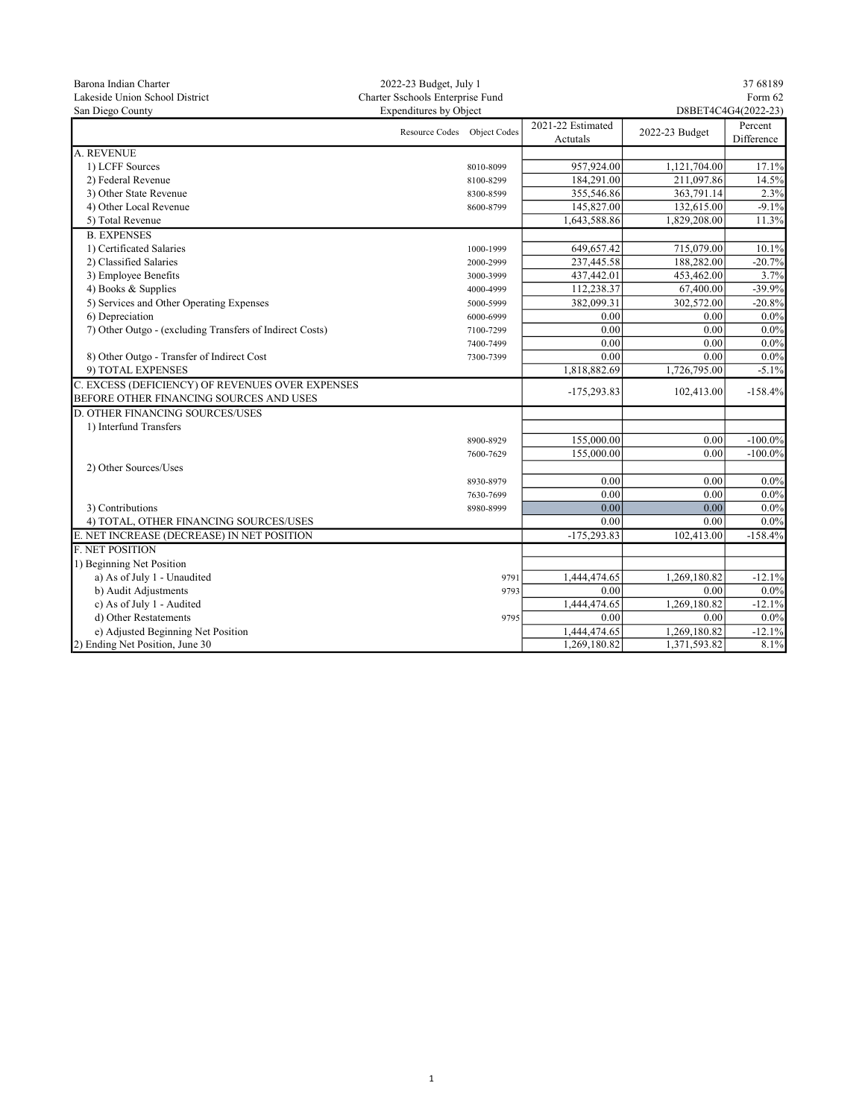| Barona Indian Charter                                    | 2022-23 Budget, July 1           |           |                               |                | 37 68189              |  |
|----------------------------------------------------------|----------------------------------|-----------|-------------------------------|----------------|-----------------------|--|
| Lakeside Union School District                           | Charter Sschools Enterprise Fund |           |                               | Form 62        |                       |  |
| San Diego County                                         | Expenditures by Object           |           | D8BET4C4G4(2022-23)           |                |                       |  |
|                                                          | Resource Codes Object Codes      |           | 2021-22 Estimated<br>Actutals | 2022-23 Budget | Percent<br>Difference |  |
| A. REVENUE                                               |                                  |           |                               |                |                       |  |
| 1) LCFF Sources                                          |                                  | 8010-8099 | 957,924.00                    | 1,121,704.00   | 17.1%                 |  |
| 2) Federal Revenue                                       |                                  | 8100-8299 | 184,291.00                    | 211,097.86     | 14.5%                 |  |
| 3) Other State Revenue                                   |                                  | 8300-8599 | 355,546.86                    | 363,791.14     | 2.3%                  |  |
| 4) Other Local Revenue                                   |                                  | 8600-8799 | 145,827.00                    | 132,615.00     | $-9.1%$               |  |
| 5) Total Revenue                                         |                                  |           | 1,643,588.86                  | 1,829,208.00   | 11.3%                 |  |
| <b>B. EXPENSES</b>                                       |                                  |           |                               |                |                       |  |
| 1) Certificated Salaries                                 |                                  | 1000-1999 | 649,657.42                    | 715,079.00     | 10.1%                 |  |
| 2) Classified Salaries                                   |                                  | 2000-2999 | 237,445.58                    | 188,282.00     | $-20.7%$              |  |
| 3) Employee Benefits                                     |                                  | 3000-3999 | 437,442.01                    | 453,462.00     | 3.7%                  |  |
| 4) Books & Supplies                                      |                                  | 4000-4999 | 112,238.37                    | 67,400.00      | $-39.9%$              |  |
| 5) Services and Other Operating Expenses                 |                                  | 5000-5999 | 382,099.31                    | 302,572.00     | $-20.8%$              |  |
| 6) Depreciation                                          |                                  | 6000-6999 | 0.00                          | 0.00           | 0.0%                  |  |
| 7) Other Outgo - (excluding Transfers of Indirect Costs) |                                  | 7100-7299 | 0.00                          | 0.00           | 0.0%                  |  |
|                                                          |                                  | 7400-7499 | 0.00                          | 0.00           | $0.0\%$               |  |
| 8) Other Outgo - Transfer of Indirect Cost               |                                  | 7300-7399 | 0.00                          | 0.00           | $0.0\%$               |  |
| 9) TOTAL EXPENSES                                        |                                  |           | 1,818,882.69                  | 1,726,795.00   | $-5.1%$               |  |
| C. EXCESS (DEFICIENCY) OF REVENUES OVER EXPENSES         |                                  |           |                               |                |                       |  |
| BEFORE OTHER FINANCING SOURCES AND USES                  |                                  |           | $-175,293.83$                 | 102,413.00     | $-158.4%$             |  |
| <b>D. OTHER FINANCING SOURCES/USES</b>                   |                                  |           |                               |                |                       |  |
| 1) Interfund Transfers                                   |                                  |           |                               |                |                       |  |
|                                                          |                                  | 8900-8929 | 155,000.00                    | 0.00           | $-100.0\%$            |  |
|                                                          |                                  | 7600-7629 | 155,000.00                    | 0.00           | $-100.0\%$            |  |
| 2) Other Sources/Uses                                    |                                  |           |                               |                |                       |  |
|                                                          |                                  | 8930-8979 | 0.00                          | 0.00           | $0.0\%$               |  |
|                                                          |                                  | 7630-7699 | 0.00                          | 0.00           | $0.0\%$               |  |
| 3) Contributions                                         |                                  | 8980-8999 | 0.00                          | 0.00           | $0.0\%$               |  |
| 4) TOTAL, OTHER FINANCING SOURCES/USES                   |                                  |           | 0.00                          | 0.00           | $0.0\%$               |  |
| E. NET INCREASE (DECREASE) IN NET POSITION               |                                  |           | $-175,293.83$                 | 102,413.00     | $-158.4%$             |  |
| <b>F. NET POSITION</b>                                   |                                  |           |                               |                |                       |  |
| 1) Beginning Net Position                                |                                  |           |                               |                |                       |  |
| a) As of July 1 - Unaudited                              |                                  | 9791      | 1,444,474.65                  | 1,269,180.82   | $-12.1%$              |  |
| b) Audit Adjustments                                     |                                  | 9793      | 0.00                          | 0.00           | 0.0%                  |  |
| c) As of July 1 - Audited                                |                                  |           | 1,444,474.65                  | 1,269,180.82   | $-12.1%$              |  |
| d) Other Restatements                                    |                                  | 9795      | 0.00                          | 0.00           | $0.0\%$               |  |
| e) Adjusted Beginning Net Position                       |                                  |           | 1,444,474.65                  | 1,269,180.82   | $-12.1%$              |  |
| 2) Ending Net Position, June 30                          |                                  |           | 1,269,180.82                  | 1,371,593.82   | 8.1%                  |  |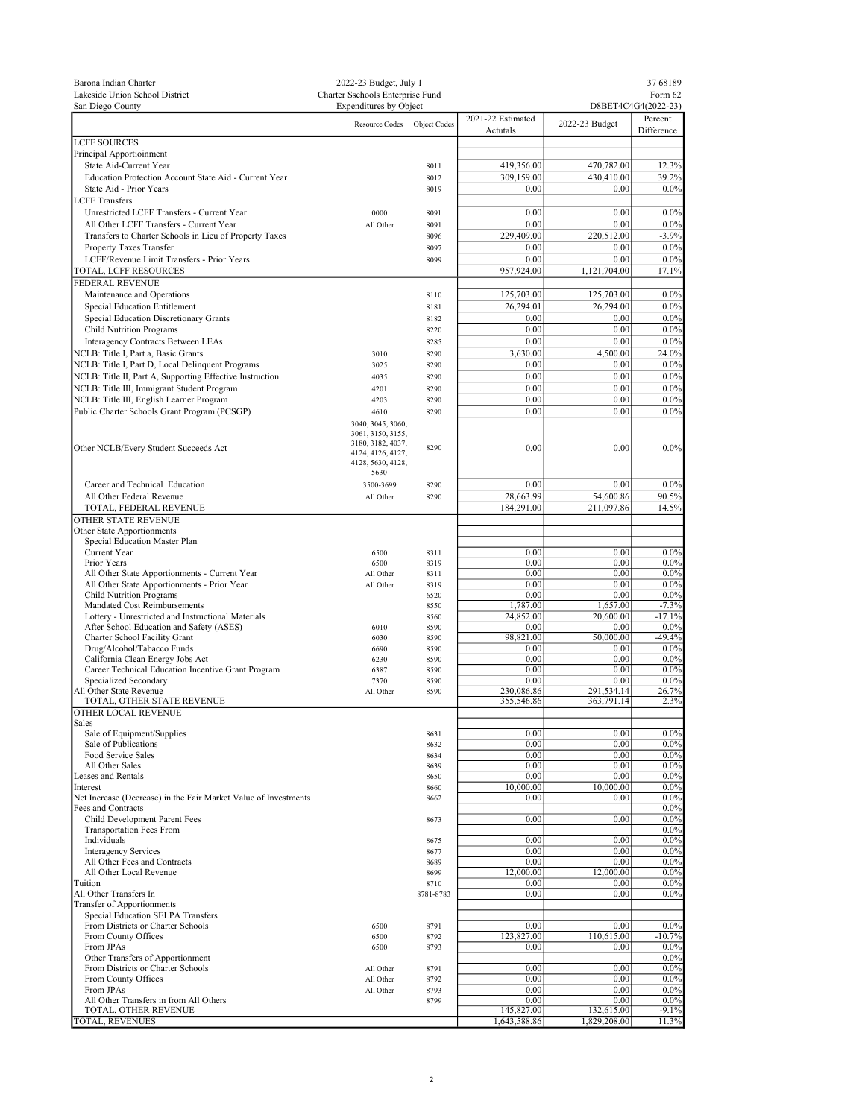| Barona Indian Charter<br>Lakeside Union School District<br>San Diego County                       | 2022-23 Budget, July 1<br>Charter Sschools Enterprise Fund<br><b>Expenditures by Object</b> |              | 37 68189<br>Form 62<br>D8BET4C4G4(2022-23) |                          |                       |
|---------------------------------------------------------------------------------------------------|---------------------------------------------------------------------------------------------|--------------|--------------------------------------------|--------------------------|-----------------------|
|                                                                                                   | Resource Codes                                                                              | Object Codes | 2021-22 Estimated<br>Actutals              | 2022-23 Budget           | Percent<br>Difference |
| <b>LCFF SOURCES</b>                                                                               |                                                                                             |              |                                            |                          |                       |
| Principal Apportioinment                                                                          |                                                                                             |              |                                            |                          |                       |
| State Aid-Current Year<br>Education Protection Account State Aid - Current Year                   |                                                                                             | 8011<br>8012 | 419,356.00<br>309,159.00                   | 470,782.00<br>430,410.00 | 12.3%<br>39.2%        |
| State Aid - Prior Years                                                                           |                                                                                             | 8019         | 0.00                                       | 0.00                     | $0.0\%$               |
| <b>LCFF</b> Transfers                                                                             |                                                                                             |              |                                            |                          |                       |
| Unrestricted LCFF Transfers - Current Year                                                        | 0000                                                                                        | 8091         | 0.00                                       | 0.00                     | 0.0%                  |
| All Other LCFF Transfers - Current Year<br>Transfers to Charter Schools in Lieu of Property Taxes | All Other                                                                                   | 8091         | 0.00<br>229,409.00                         | 0.00<br>220,512.00       | 0.0%<br>$-3.9%$       |
| Property Taxes Transfer                                                                           |                                                                                             | 8096<br>8097 | 0.00                                       | 0.00                     | 0.0%                  |
| LCFF/Revenue Limit Transfers - Prior Years                                                        |                                                                                             | 8099         | 0.00                                       | 0.00                     | $0.0\%$               |
| TOTAL, LCFF RESOURCES                                                                             |                                                                                             |              | 957,924.00                                 | 1,121,704.00             | 17.1%                 |
| <b>FEDERAL REVENUE</b>                                                                            |                                                                                             |              |                                            |                          |                       |
| Maintenance and Operations<br>Special Education Entitlement                                       |                                                                                             | 8110<br>8181 | 125,703.00<br>26,294.01                    | 125,703.00<br>26,294.00  | 0.0%<br>0.0%          |
| Special Education Discretionary Grants                                                            |                                                                                             | 8182         | 0.00                                       | 0.00                     | 0.0%                  |
| <b>Child Nutrition Programs</b>                                                                   |                                                                                             | 8220         | 0.00                                       | 0.00                     | $0.0\%$               |
| Interagency Contracts Between LEAs                                                                |                                                                                             | 8285         | 0.00                                       | 0.00                     | 0.0%                  |
| NCLB: Title I, Part a, Basic Grants<br>NCLB: Title I, Part D, Local Delinquent Programs           | 3010<br>3025                                                                                | 8290<br>8290 | 3,630.00<br>0.00                           | 4,500.00<br>0.00         | 24.0%<br>0.0%         |
| NCLB: Title II, Part A, Supporting Effective Instruction                                          | 4035                                                                                        | 8290         | 0.00                                       | 0.00                     | 0.0%                  |
| NCLB: Title III, Immigrant Student Program                                                        | 4201                                                                                        | 8290         | 0.00                                       | 0.00                     | $0.0\%$               |
| NCLB: Title III, English Learner Program                                                          | 4203                                                                                        | 8290         | 0.00                                       | 0.00                     | 0.0%                  |
| Public Charter Schools Grant Program (PCSGP)                                                      | 4610<br>3040, 3045, 3060,                                                                   | 8290         | 0.00                                       | 0.00                     | 0.0%                  |
| Other NCLB/Every Student Succeeds Act                                                             | 3061, 3150, 3155,<br>3180, 3182, 4037,<br>4124, 4126, 4127,<br>4128, 5630, 4128,            | 8290         | 0.00                                       | 0.00                     | $0.0\%$               |
| Career and Technical Education                                                                    | 5630<br>3500-3699                                                                           | 8290         | 0.00                                       | 0.00                     | 0.0%                  |
| All Other Federal Revenue                                                                         | All Other                                                                                   | 8290         | 28,663.99                                  | 54,600.86                | 90.5%                 |
| TOTAL, FEDERAL REVENUE                                                                            |                                                                                             |              | 184,291.00                                 | 211,097.86               | 14.5%                 |
| OTHER STATE REVENUE                                                                               |                                                                                             |              |                                            |                          |                       |
| Other State Apportionments<br>Special Education Master Plan                                       |                                                                                             |              |                                            |                          |                       |
| Current Year                                                                                      | 6500                                                                                        | 8311         | 0.00                                       | 0.00                     | $0.0\%$               |
| Prior Years<br>All Other State Apportionments - Current Year                                      | 6500<br>All Other                                                                           | 8319<br>8311 | 0.00<br>0.00                               | 0.00<br>0.00             | $0.0\%$<br>0.0%       |
| All Other State Apportionments - Prior Year                                                       | All Other                                                                                   | 8319         | 0.00                                       | 0.00                     | 0.0%                  |
| <b>Child Nutrition Programs</b>                                                                   |                                                                                             | 6520         | 0.00                                       | 0.00                     | 0.0%                  |
| Mandated Cost Reimbursements<br>Lottery - Unrestricted and Instructional Materials                |                                                                                             | 8550<br>8560 | 1,787.00<br>24,852.00                      | 1,657.00<br>20,600.00    | $-7.3%$<br>$-17.1%$   |
| After School Education and Safety (ASES)                                                          | 6010                                                                                        | 8590         | 0.00                                       | 0.00                     | 0.0%                  |
| Charter School Facility Grant                                                                     | 6030                                                                                        | 8590         | 98,821.00                                  | 50,000.00                | $-49.4%$              |
| Drug/Alcohol/Tabacco Funds<br>California Clean Energy Jobs Act                                    | 6690<br>6230                                                                                | 8590<br>8590 | 0.00<br>0.00                               | 0.00<br>0.00             | 0.0%<br>0.0%          |
| Career Technical Education Incentive Grant Program                                                | 6387                                                                                        | 8590         | 0.00                                       | 0.00                     | $0.0\%$               |
| Specialized Secondary                                                                             | 7370                                                                                        | 8590         | 0.00                                       | 0.00                     | $0.0\%$               |
| All Other State Revenue<br>TOTAL, OTHER STATE REVENUE                                             | All Other                                                                                   | 8590         | 230,086.86<br>355,546.86                   | 291,534.14<br>363,791.14 | 26.7%<br>2.3%         |
| OTHER LOCAL REVENUE                                                                               |                                                                                             |              |                                            |                          |                       |
| <b>Sales</b>                                                                                      |                                                                                             |              |                                            |                          |                       |
| Sale of Equipment/Supplies<br>Sale of Publications                                                |                                                                                             | 8631<br>8632 | 0.00<br>0.00                               | 0.00<br>0.00             | 0.0%<br>0.0%          |
| Food Service Sales                                                                                |                                                                                             | 8634         | 0.00                                       | 0.00                     | $0.0\%$               |
| All Other Sales<br>Leases and Rentals                                                             |                                                                                             | 8639         | 0.00<br>0.00                               | 0.00<br>0.00             | $0.0\%$<br>0.0%       |
| Interest                                                                                          |                                                                                             | 8650<br>8660 | 10,000.00                                  | 10,000.00                | 0.0%                  |
| Net Increase (Decrease) in the Fair Market Value of Investments                                   |                                                                                             | 8662         | 0.00                                       | 0.00                     | $0.0\%$               |
| Fees and Contracts<br>Child Development Parent Fees                                               |                                                                                             | 8673         | 0.00                                       | 0.00                     | $0.0\%$<br>$0.0\%$    |
| <b>Transportation Fees From</b>                                                                   |                                                                                             |              |                                            |                          | $0.0\%$               |
| Individuals                                                                                       |                                                                                             | 8675         | 0.00                                       | 0.00                     | $0.0\%$               |
| <b>Interagency Services</b><br>All Other Fees and Contracts                                       |                                                                                             | 8677<br>8689 | 0.00<br>0.00                               | 0.00<br>0.00             | $0.0\%$<br>0.0%       |
| All Other Local Revenue                                                                           |                                                                                             | 8699         | 12,000.00                                  | 12,000.00                | $0.0\%$               |
| Tuition                                                                                           |                                                                                             | 8710         | 0.00                                       | 0.00                     | $0.0\%$               |
| All Other Transfers In<br><b>Transfer of Apportionments</b>                                       |                                                                                             | 8781-8783    | 0.00                                       | 0.00                     | $0.0\%$               |
| Special Education SELPA Transfers                                                                 |                                                                                             |              |                                            |                          |                       |
| From Districts or Charter Schools                                                                 | 6500                                                                                        | 8791         | 0.00                                       | 0.00                     | $0.0\%$               |
| From County Offices<br>From JPAs                                                                  | 6500<br>6500                                                                                | 8792<br>8793 | 123,827.00<br>0.00                         | 110,615.00<br>0.00       | $-10.7%$<br>$0.0\%$   |
| Other Transfers of Apportionment                                                                  |                                                                                             |              |                                            |                          | $0.0\%$               |
| From Districts or Charter Schools                                                                 | All Other                                                                                   | 8791         | 0.00                                       | 0.00                     | 0.0%                  |
| From County Offices<br>From JPAs                                                                  | All Other<br>All Other                                                                      | 8792<br>8793 | 0.00<br>0.00                               | 0.00<br>0.00             | 0.0%<br>0.0%          |
| All Other Transfers in from All Others                                                            |                                                                                             | 8799         | 0.00                                       | 0.00                     | 0.0%                  |
| TOTAL, OTHER REVENUE                                                                              |                                                                                             |              | 145,827.00                                 | 132,615.00               | $-9.1%$               |
| <b>TOTAL, REVENUES</b>                                                                            |                                                                                             |              | 1,643,588.86                               | 1,829,208.00             | 11.3%                 |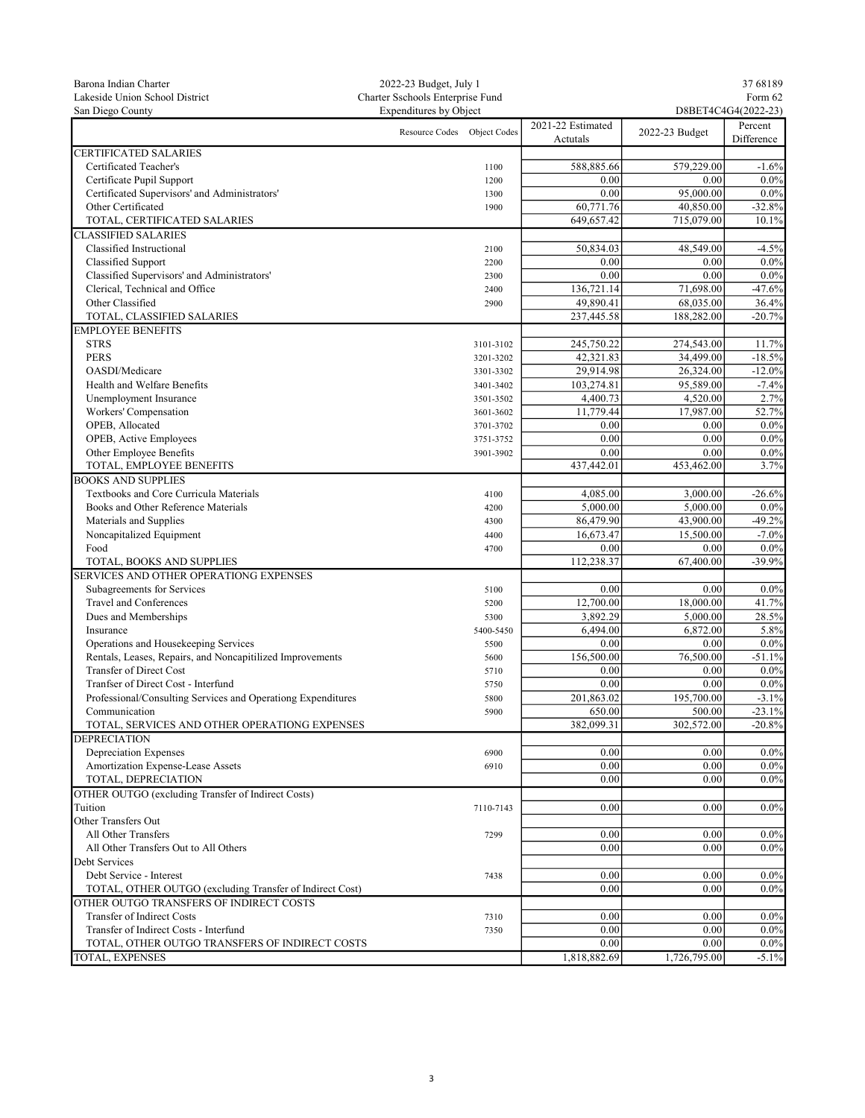| Barona Indian Charter                                                                               | 2022-23 Budget, July 1           |           |                      |                     | 37 68189   |  |
|-----------------------------------------------------------------------------------------------------|----------------------------------|-----------|----------------------|---------------------|------------|--|
| Lakeside Union School District                                                                      | Charter Sschools Enterprise Fund |           |                      | Form 62             |            |  |
| San Diego County                                                                                    | <b>Expenditures by Object</b>    |           |                      | D8BET4C4G4(2022-23) |            |  |
|                                                                                                     | Resource Codes Object Codes      |           | 2021-22 Estimated    |                     | Percent    |  |
|                                                                                                     |                                  |           | Actutals             | 2022-23 Budget      | Difference |  |
| <b>CERTIFICATED SALARIES</b>                                                                        |                                  |           |                      |                     |            |  |
| Certificated Teacher's                                                                              |                                  | 1100      | 588,885.66           | 579,229.00          | $-1.6%$    |  |
| Certificate Pupil Support                                                                           |                                  | 1200      | 0.00                 | 0.00                | $0.0\%$    |  |
| Certificated Supervisors' and Administrators'                                                       |                                  | 1300      | 0.00                 | 95,000.00           | $0.0\%$    |  |
| Other Certificated                                                                                  |                                  | 1900      | 60,771.76            | 40,850.00           | $-32.8%$   |  |
| TOTAL, CERTIFICATED SALARIES                                                                        |                                  |           | 649,657.42           | 715,079.00          | 10.1%      |  |
| <b>CLASSIFIED SALARIES</b>                                                                          |                                  |           |                      |                     |            |  |
| Classified Instructional                                                                            |                                  | 2100      | 50,834.03            | 48,549.00           | $-4.5%$    |  |
| Classified Support                                                                                  |                                  | 2200      | 0.00                 | 0.00                | $0.0\%$    |  |
| Classified Supervisors' and Administrators'                                                         |                                  | 2300      | 0.00                 | 0.00                | $0.0\%$    |  |
| Clerical, Technical and Office                                                                      |                                  | 2400      | 136,721.14           | 71,698.00           | $-47.6%$   |  |
| Other Classified                                                                                    |                                  | 2900      | 49,890.41            | 68,035.00           | 36.4%      |  |
| TOTAL, CLASSIFIED SALARIES                                                                          |                                  |           | 237,445.58           | 188,282.00          | $-20.7%$   |  |
| <b>EMPLOYEE BENEFITS</b>                                                                            |                                  |           |                      |                     |            |  |
| <b>STRS</b>                                                                                         |                                  | 3101-3102 | 245,750.22           | 274,543.00          | 11.7%      |  |
| <b>PERS</b>                                                                                         |                                  | 3201-3202 | 42,321.83            | 34,499.00           | $-18.5%$   |  |
| OASDI/Medicare                                                                                      |                                  | 3301-3302 | 29,914.98            | 26,324.00           | $-12.0%$   |  |
| Health and Welfare Benefits                                                                         |                                  | 3401-3402 | 103,274.81           | 95,589.00           | $-7.4%$    |  |
| Unemployment Insurance                                                                              |                                  | 3501-3502 | 4,400.73             | 4,520.00            | 2.7%       |  |
| Workers' Compensation                                                                               |                                  | 3601-3602 | 11,779.44            | 17,987.00           | 52.7%      |  |
| OPEB, Allocated                                                                                     |                                  | 3701-3702 | 0.00                 | 0.00                | $0.0\%$    |  |
| OPEB, Active Employees                                                                              |                                  | 3751-3752 | 0.00                 | 0.00                | 0.0%       |  |
| Other Employee Benefits                                                                             |                                  | 3901-3902 | 0.00                 | 0.00                | $0.0\%$    |  |
| TOTAL, EMPLOYEE BENEFITS                                                                            |                                  |           | 437,442.01           | 453,462.00          | 3.7%       |  |
| <b>BOOKS AND SUPPLIES</b>                                                                           |                                  |           |                      |                     |            |  |
| Textbooks and Core Curricula Materials                                                              |                                  | 4100      | 4,085.00             | 3,000.00            | $-26.6%$   |  |
| Books and Other Reference Materials                                                                 |                                  | 4200      | 5,000.00             | 5,000.00            | $0.0\%$    |  |
| Materials and Supplies                                                                              |                                  | 4300      | 86,479.90            | 43,900.00           | $-49.2%$   |  |
| Noncapitalized Equipment                                                                            |                                  | 4400      | 16,673.47            | 15,500.00           | $-7.0\%$   |  |
| Food                                                                                                |                                  | 4700      | 0.00                 | 0.00                | 0.0%       |  |
| TOTAL, BOOKS AND SUPPLIES                                                                           |                                  |           | 112,238.37           | 67,400.00           | $-39.9%$   |  |
| SERVICES AND OTHER OPERATIONG EXPENSES                                                              |                                  |           |                      |                     |            |  |
| Subagreements for Services                                                                          |                                  | 5100      | 0.00                 | 0.00                | $0.0\%$    |  |
| Travel and Conferences                                                                              |                                  | 5200      | 12,700.00            | 18,000.00           | 41.7%      |  |
| Dues and Memberships                                                                                |                                  | 5300      | 3,892.29             | 5,000.00            | 28.5%      |  |
| Insurance                                                                                           |                                  | 5400-5450 | 6,494.00             | 6,872.00            | 5.8%       |  |
| Operations and Housekeeping Services                                                                |                                  | 5500      | 0.00                 | 0.00                | $0.0\%$    |  |
| Rentals, Leases, Repairs, and Noncapitilized Improvements                                           |                                  | 5600      | 156,500.00           | 76,500.00           | $-51.1%$   |  |
| <b>Transfer of Direct Cost</b>                                                                      |                                  | 5710      | 0.00                 | 0.00                | $0.0\%$    |  |
| Tranfser of Direct Cost - Interfund                                                                 |                                  | 5750      | 0.00                 | 0.00                | $0.0\%$    |  |
| Professional/Consulting Services and Operationg Expenditures                                        |                                  | 5800      | 201,863.02           | 195,700.00          | $-3.1%$    |  |
|                                                                                                     |                                  |           |                      | 500.00              | $-23.1%$   |  |
| Communication<br>TOTAL, SERVICES AND OTHER OPERATIONG EXPENSES                                      |                                  | 5900      | 650.00<br>382,099.31 | 302,572.00          | $-20.8%$   |  |
| <b>DEPRECIATION</b>                                                                                 |                                  |           |                      |                     |            |  |
| <b>Depreciation Expenses</b>                                                                        |                                  | 6900      | 0.00                 | 0.00                | $0.0\%$    |  |
| Amortization Expense-Lease Assets                                                                   |                                  | 6910      | 0.00                 | 0.00                | $0.0\%$    |  |
| TOTAL, DEPRECIATION                                                                                 |                                  |           | 0.00                 | 0.00                | $0.0\%$    |  |
| OTHER OUTGO (excluding Transfer of Indirect Costs)                                                  |                                  |           |                      |                     |            |  |
| Tuition                                                                                             |                                  |           | 0.00                 | 0.00                | $0.0\%$    |  |
| Other Transfers Out                                                                                 |                                  | 7110-7143 |                      |                     |            |  |
| All Other Transfers                                                                                 |                                  |           | 0.00                 | 0.00                | $0.0\%$    |  |
| All Other Transfers Out to All Others                                                               |                                  | 7299      | 0.00                 | 0.00                | $0.0\%$    |  |
|                                                                                                     |                                  |           |                      |                     |            |  |
| Debt Services<br>Debt Service - Interest                                                            |                                  |           | 0.00                 | 0.00                | $0.0\%$    |  |
|                                                                                                     |                                  | 7438      |                      |                     |            |  |
| TOTAL, OTHER OUTGO (excluding Transfer of Indirect Cost)<br>OTHER OUTGO TRANSFERS OF INDIRECT COSTS |                                  |           | 0.00                 | 0.00                | $0.0\%$    |  |
|                                                                                                     |                                  |           |                      |                     |            |  |
| Transfer of Indirect Costs                                                                          |                                  | 7310      | 0.00                 | 0.00                | $0.0\%$    |  |
| Transfer of Indirect Costs - Interfund                                                              |                                  | 7350      | 0.00                 | 0.00                | $0.0\%$    |  |
| TOTAL, OTHER OUTGO TRANSFERS OF INDIRECT COSTS                                                      |                                  |           | 0.00                 | 0.00                | $0.0\%$    |  |
| <b>TOTAL, EXPENSES</b>                                                                              |                                  |           | 1,818,882.69         | 1,726,795.00        | $-5.1\%$   |  |